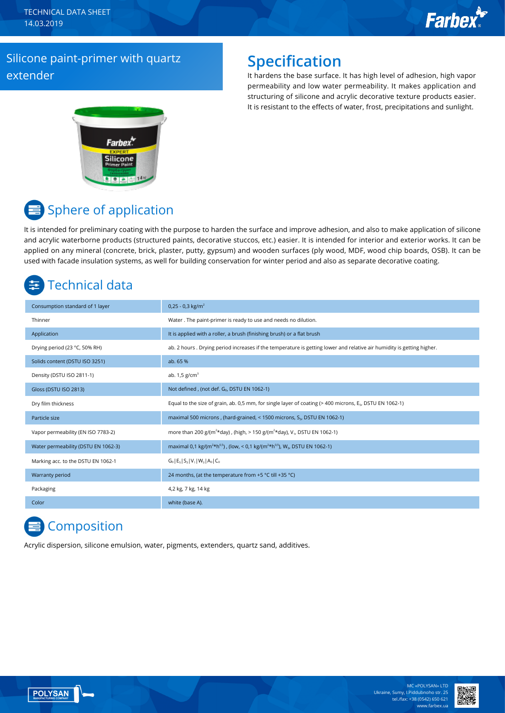TECHNICAL DATA SHEET 14.03.2019

# **Farbex**

#### Silicone paint-primer with quartz extender

### **Specification**

It hardens the base surface. It has high level of adhesion, high vapor permeability and low water permeability. It makes application and structuring of silicone and acrylic decorative texture products easier. It is resistant to the effects of water, frost, precipitations and sunlight.



## **■** Sphere of application

It is intended for preliminary coating with the purpose to harden the surface and improve adhesion, and also to make application of silicone and acrylic waterborne products (structured paints, decorative stuccos, etc.) easier. It is intended for interior and exterior works. It can be applied on any mineral (concrete, brick, plaster, putty, gypsum) and wooden surfaces (ply wood, MDF, wood chip boards, OSB). It can be used with facade insulation systems, as well for building conservation for winter period and also as separate decorative coating.

### Technical data

| Consumption standard of 1 layer     | $0,25 - 0,3$ kg/m <sup>2</sup>                                                                                         |
|-------------------------------------|------------------------------------------------------------------------------------------------------------------------|
| Thinner                             | Water. The paint-primer is ready to use and needs no dilution.                                                         |
| Application                         | It is applied with a roller, a brush (finishing brush) or a flat brush                                                 |
| Drying period (23 °C, 50% RH)       | ab. 2 hours . Drying period increases if the temperature is getting lower and relative air humidity is getting higher. |
| Solids content (DSTU ISO 3251)      | ab. 65 %                                                                                                               |
| Density (DSTU ISO 2811-1)           | ab. $1,5$ g/cm <sup>3</sup>                                                                                            |
| Gloss (DSTU ISO 2813)               | Not defined, (not def. Go, DSTU EN 1062-1)                                                                             |
| Dry film thickness                  | Equal to the size of grain, ab. 0,5 mm, for single layer of coating ( $>$ 400 microns, $E_{s}$ , DSTU EN 1062-1)       |
| Particle size                       | maximal 500 microns, (hard-grained, < 1500 microns, S <sub>3</sub> , DSTU EN 1062-1)                                   |
| Vapor permeability (EN ISO 7783-2)  | more than 200 g/(m <sup>2*</sup> day), (high, > 150 g/(m <sup>2*</sup> day), V <sub>1</sub> , DSTU EN 1062-1)          |
| Water permeability (DSTU EN 1062-3) | maximal 0,1 kg/(m <sup>2*h0,5</sup> ), (low, < 0,1 kg/(m <sup>2*h0,5</sup> ), W <sub>3</sub> , DSTU EN 1062-1)         |
| Marking acc. to the DSTU EN 1062-1  | $G_0$   $E_5$   $S_3$   $V_1$   $W_3$   $A_0$   $C_0$                                                                  |
| Warranty period                     | 24 months, (at the temperature from +5 °C till +35 °C)                                                                 |
| Packaging                           | 4,2 kg, 7 kg, 14 kg                                                                                                    |
| Color                               | white (base A).                                                                                                        |

### **Composition**

Acrylic dispersion, silicone emulsion, water, pigments, extenders, quartz sand, additives.